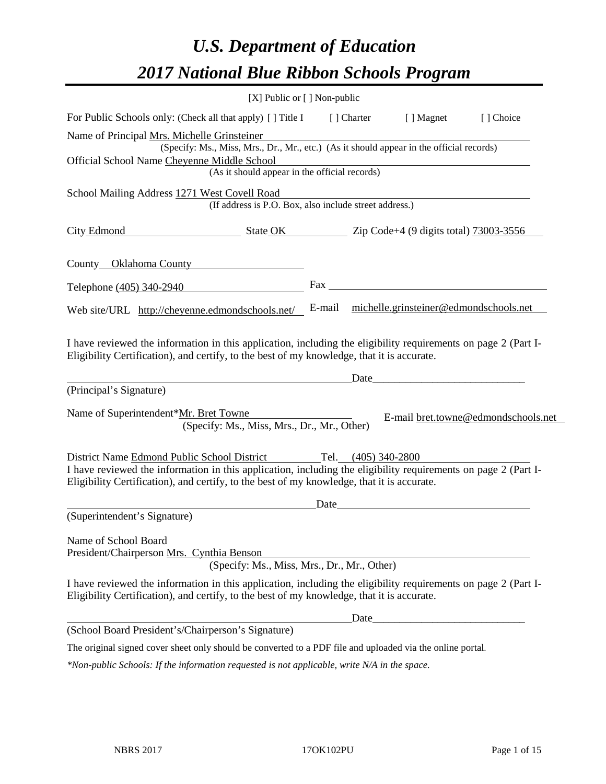# *U.S. Department of Education 2017 National Blue Ribbon Schools Program*

| [X] Public or [] Non-public                                                                                                                                                                                                             |      |             |                                               |                                     |
|-----------------------------------------------------------------------------------------------------------------------------------------------------------------------------------------------------------------------------------------|------|-------------|-----------------------------------------------|-------------------------------------|
| For Public Schools only: (Check all that apply) [ ] Title I                                                                                                                                                                             |      | [ ] Charter | [ ] Magnet                                    | [] Choice                           |
| Name of Principal Mrs. Michelle Grinsteiner<br>(Specify: Ms., Miss, Mrs., Dr., Mr., etc.) (As it should appear in the official records)<br>Official School Name Cheyenne Middle School<br>(As it should appear in the official records) |      |             |                                               |                                     |
| School Mailing Address 1271 West Covell Road                                                                                                                                                                                            |      |             |                                               |                                     |
| (If address is P.O. Box, also include street address.)                                                                                                                                                                                  |      |             |                                               |                                     |
| City Edmond State OK Zip Code+4 (9 digits total) 73003-3556                                                                                                                                                                             |      |             |                                               |                                     |
| County Oklahoma County                                                                                                                                                                                                                  |      |             |                                               |                                     |
| Telephone (405) 340-2940                                                                                                                                                                                                                |      |             |                                               |                                     |
| Web site/URL http://cheyenne.edmondschools.net/                                                                                                                                                                                         |      |             | E-mail michelle.grinsteiner@edmondschools.net |                                     |
| I have reviewed the information in this application, including the eligibility requirements on page 2 (Part I-<br>Eligibility Certification), and certify, to the best of my knowledge, that it is accurate.                            |      |             |                                               |                                     |
| (Principal's Signature)                                                                                                                                                                                                                 |      |             |                                               |                                     |
| Name of Superintendent*Mr. Bret Towne<br>(Specify: Ms., Miss, Mrs., Dr., Mr., Other)                                                                                                                                                    |      |             |                                               | E-mail bret.towne@edmondschools.net |
| District Name Edmond Public School District Tel. (405) 340-2800                                                                                                                                                                         |      |             |                                               |                                     |
| I have reviewed the information in this application, including the eligibility requirements on page 2 (Part I-<br>Eligibility Certification), and certify, to the best of my knowledge, that it is accurate.                            |      |             |                                               |                                     |
|                                                                                                                                                                                                                                         | Date |             |                                               |                                     |
| (Superintendent's Signature)                                                                                                                                                                                                            |      |             |                                               |                                     |
| Name of School Board<br>President/Chairperson Mrs. Cynthia Benson<br>(Specify: Ms., Miss, Mrs., Dr., Mr., Other)                                                                                                                        |      |             |                                               |                                     |
| I have reviewed the information in this application, including the eligibility requirements on page 2 (Part I-<br>Eligibility Certification), and certify, to the best of my knowledge, that it is accurate.                            |      |             |                                               |                                     |
|                                                                                                                                                                                                                                         |      |             |                                               |                                     |
| (School Board President's/Chairperson's Signature)                                                                                                                                                                                      |      |             |                                               |                                     |
| The original signed cover sheet only should be converted to a PDF file and uploaded via the online portal.                                                                                                                              |      |             |                                               |                                     |

*\*Non-public Schools: If the information requested is not applicable, write N/A in the space.*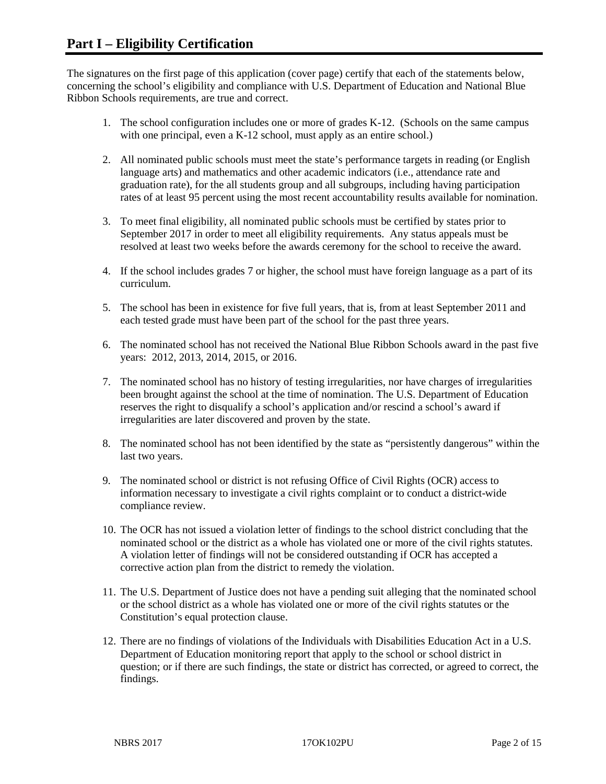The signatures on the first page of this application (cover page) certify that each of the statements below, concerning the school's eligibility and compliance with U.S. Department of Education and National Blue Ribbon Schools requirements, are true and correct.

- 1. The school configuration includes one or more of grades K-12. (Schools on the same campus with one principal, even a K-12 school, must apply as an entire school.)
- 2. All nominated public schools must meet the state's performance targets in reading (or English language arts) and mathematics and other academic indicators (i.e., attendance rate and graduation rate), for the all students group and all subgroups, including having participation rates of at least 95 percent using the most recent accountability results available for nomination.
- 3. To meet final eligibility, all nominated public schools must be certified by states prior to September 2017 in order to meet all eligibility requirements. Any status appeals must be resolved at least two weeks before the awards ceremony for the school to receive the award.
- 4. If the school includes grades 7 or higher, the school must have foreign language as a part of its curriculum.
- 5. The school has been in existence for five full years, that is, from at least September 2011 and each tested grade must have been part of the school for the past three years.
- 6. The nominated school has not received the National Blue Ribbon Schools award in the past five years: 2012, 2013, 2014, 2015, or 2016.
- 7. The nominated school has no history of testing irregularities, nor have charges of irregularities been brought against the school at the time of nomination. The U.S. Department of Education reserves the right to disqualify a school's application and/or rescind a school's award if irregularities are later discovered and proven by the state.
- 8. The nominated school has not been identified by the state as "persistently dangerous" within the last two years.
- 9. The nominated school or district is not refusing Office of Civil Rights (OCR) access to information necessary to investigate a civil rights complaint or to conduct a district-wide compliance review.
- 10. The OCR has not issued a violation letter of findings to the school district concluding that the nominated school or the district as a whole has violated one or more of the civil rights statutes. A violation letter of findings will not be considered outstanding if OCR has accepted a corrective action plan from the district to remedy the violation.
- 11. The U.S. Department of Justice does not have a pending suit alleging that the nominated school or the school district as a whole has violated one or more of the civil rights statutes or the Constitution's equal protection clause.
- 12. There are no findings of violations of the Individuals with Disabilities Education Act in a U.S. Department of Education monitoring report that apply to the school or school district in question; or if there are such findings, the state or district has corrected, or agreed to correct, the findings.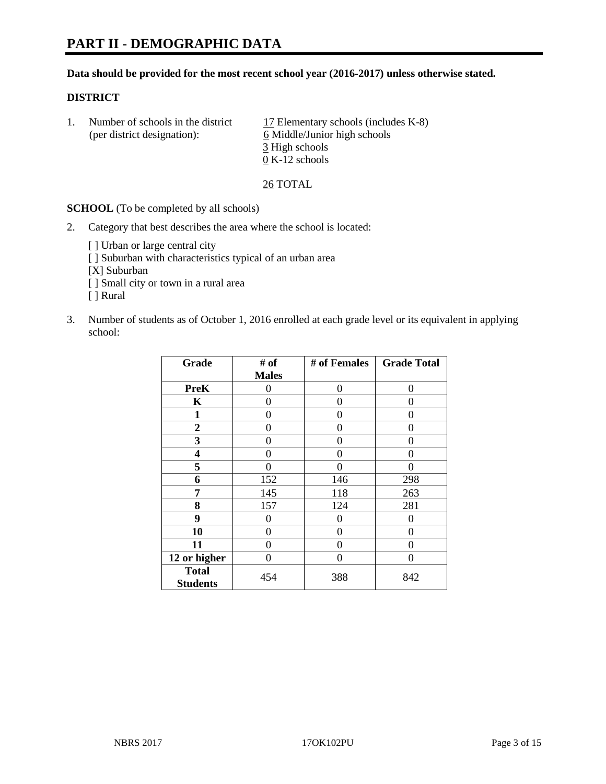#### **Data should be provided for the most recent school year (2016-2017) unless otherwise stated.**

### **DISTRICT**

| Number of schools in the district<br>(per district designation): | 17 Elementary schools (includes K-8)<br>6 Middle/Junior high schools |
|------------------------------------------------------------------|----------------------------------------------------------------------|
|                                                                  | 3 High schools                                                       |
|                                                                  | $0 K-12$ schools                                                     |

26 TOTAL

**SCHOOL** (To be completed by all schools)

- 2. Category that best describes the area where the school is located:
	- [] Urban or large central city [ ] Suburban with characteristics typical of an urban area [X] Suburban [ ] Small city or town in a rural area [ ] Rural
- 3. Number of students as of October 1, 2016 enrolled at each grade level or its equivalent in applying school:

| Grade                           | # of         | # of Females | <b>Grade Total</b> |
|---------------------------------|--------------|--------------|--------------------|
|                                 | <b>Males</b> |              |                    |
| <b>PreK</b>                     | 0            | 0            | 0                  |
| K                               | 0            | 0            | 0                  |
| 1                               | 0            | 0            | 0                  |
| $\overline{2}$                  | 0            | 0            | $\mathbf{\Omega}$  |
| 3                               | 0            | 0            | 0                  |
| 4                               | 0            | 0            | $\mathbf{\Omega}$  |
| 5                               | 0            | 0            | 0                  |
| 6                               | 152          | 146          | 298                |
| 7                               | 145          | 118          | 263                |
| 8                               | 157          | 124          | 281                |
| 9                               | 0            | 0            | 0                  |
| 10                              | $\theta$     | 0            | 0                  |
| 11                              | 0            | 0            | $\mathbf{\Omega}$  |
| 12 or higher                    | 0            | 0            | $\mathbf{\Omega}$  |
| <b>Total</b><br><b>Students</b> | 454          | 388          | 842                |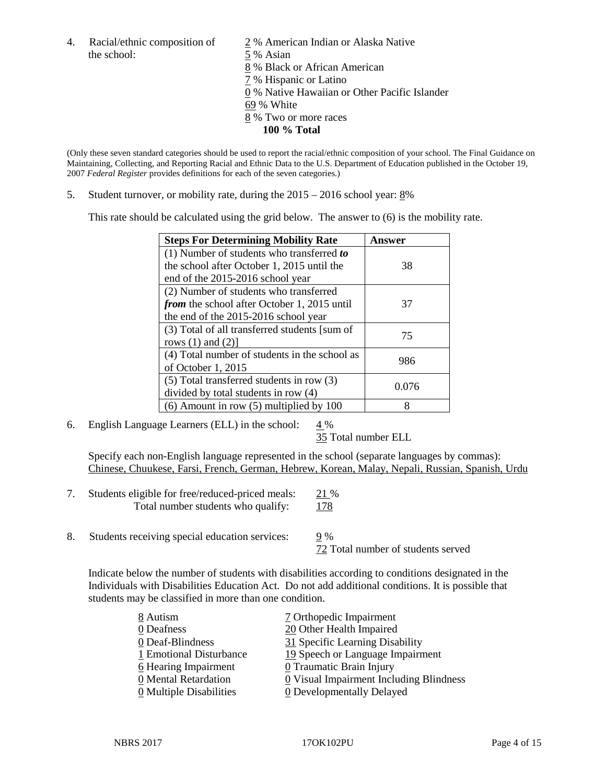4. Racial/ethnic composition of  $\frac{2}{9}$ % American Indian or Alaska Native the school: 5 % Asian

 % Black or African American % Hispanic or Latino % Native Hawaiian or Other Pacific Islander 69 % White % Two or more races **100 % Total**

(Only these seven standard categories should be used to report the racial/ethnic composition of your school. The Final Guidance on Maintaining, Collecting, and Reporting Racial and Ethnic Data to the U.S. Department of Education published in the October 19, 2007 *Federal Register* provides definitions for each of the seven categories.)

5. Student turnover, or mobility rate, during the 2015 – 2016 school year: 8%

This rate should be calculated using the grid below. The answer to (6) is the mobility rate.

| <b>Steps For Determining Mobility Rate</b>         | Answer |  |
|----------------------------------------------------|--------|--|
| (1) Number of students who transferred to          |        |  |
| the school after October 1, 2015 until the         | 38     |  |
| end of the 2015-2016 school year                   |        |  |
| (2) Number of students who transferred             |        |  |
| <i>from</i> the school after October 1, 2015 until | 37     |  |
| the end of the 2015-2016 school year               |        |  |
| (3) Total of all transferred students [sum of      | 75     |  |
| rows $(1)$ and $(2)$ ]                             |        |  |
| (4) Total number of students in the school as      | 986    |  |
| of October 1, 2015                                 |        |  |
| (5) Total transferred students in row (3)          | 0.076  |  |
| divided by total students in row (4)               |        |  |
| $(6)$ Amount in row $(5)$ multiplied by 100        | 8      |  |

6. English Language Learners (ELL) in the school:  $4\%$ 

35 Total number ELL

Specify each non-English language represented in the school (separate languages by commas): Chinese, Chuukese, Farsi, French, German, Hebrew, Korean, Malay, Nepali, Russian, Spanish, Urdu

| Students eligible for free/reduced-priced meals: | 21 %       |
|--------------------------------------------------|------------|
| Total number students who qualify:               | <u>178</u> |

8. Students receiving special education services: 9 %

72 Total number of students served

Indicate below the number of students with disabilities according to conditions designated in the Individuals with Disabilities Education Act. Do not add additional conditions. It is possible that students may be classified in more than one condition.

| 8 Autism                              | 7 Orthopedic Impairment                               |
|---------------------------------------|-------------------------------------------------------|
| 0 Deafness                            | 20 Other Health Impaired                              |
| 0 Deaf-Blindness                      | 31 Specific Learning Disability                       |
| 1 Emotional Disturbance               | 19 Speech or Language Impairment                      |
| 6 Hearing Impairment                  | 0 Traumatic Brain Injury                              |
| 0 Mental Retardation                  | $\underline{0}$ Visual Impairment Including Blindness |
| $\underline{0}$ Multiple Disabilities | <b>0</b> Developmentally Delayed                      |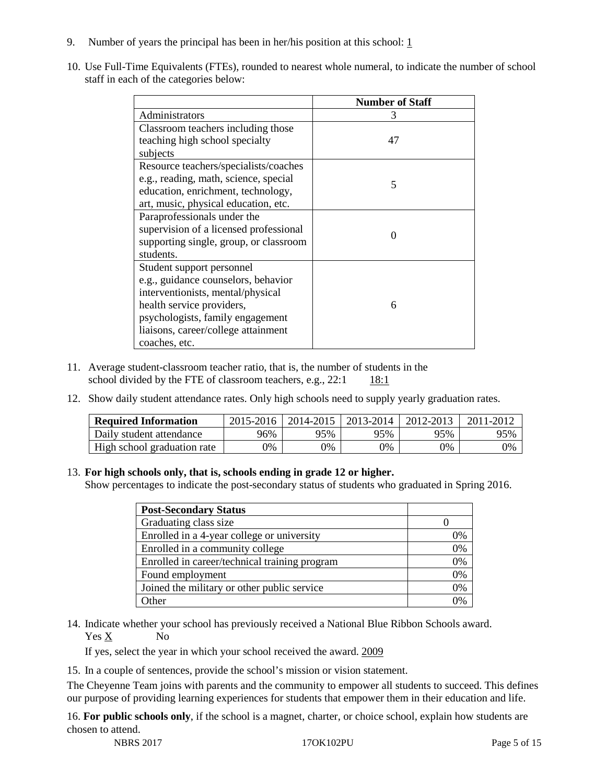- 9. Number of years the principal has been in her/his position at this school:  $1$
- 10. Use Full-Time Equivalents (FTEs), rounded to nearest whole numeral, to indicate the number of school staff in each of the categories below:

|                                        | <b>Number of Staff</b> |
|----------------------------------------|------------------------|
| Administrators                         | 3                      |
| Classroom teachers including those     |                        |
| teaching high school specialty         | 47                     |
| subjects                               |                        |
| Resource teachers/specialists/coaches  |                        |
| e.g., reading, math, science, special  | 5                      |
| education, enrichment, technology,     |                        |
| art, music, physical education, etc.   |                        |
| Paraprofessionals under the            |                        |
| supervision of a licensed professional | $\Omega$               |
| supporting single, group, or classroom |                        |
| students.                              |                        |
| Student support personnel              |                        |
| e.g., guidance counselors, behavior    |                        |
| interventionists, mental/physical      |                        |
| health service providers,              | 6                      |
| psychologists, family engagement       |                        |
| liaisons, career/college attainment    |                        |
| coaches, etc.                          |                        |

- 11. Average student-classroom teacher ratio, that is, the number of students in the school divided by the FTE of classroom teachers, e.g.,  $22:1$  18:1
- 12. Show daily student attendance rates. Only high schools need to supply yearly graduation rates.

| <b>Required Information</b> | 2015-2016 | 2014-2015 | 2013-2014 | 2012-2013 |     |
|-----------------------------|-----------|-----------|-----------|-----------|-----|
| Daily student attendance    | 96%       | 95%       | 95%       | 95%       | 95% |
| High school graduation rate | 0%        | 0%        | 0%        | 9%        | 0%  |

#### 13. **For high schools only, that is, schools ending in grade 12 or higher.**

Show percentages to indicate the post-secondary status of students who graduated in Spring 2016.

| <b>Post-Secondary Status</b>                  |    |
|-----------------------------------------------|----|
| Graduating class size                         |    |
| Enrolled in a 4-year college or university    | 0% |
| Enrolled in a community college               | 0% |
| Enrolled in career/technical training program | 0% |
| Found employment                              | 0% |
| Joined the military or other public service   | 0% |
| )ther                                         |    |

14. Indicate whether your school has previously received a National Blue Ribbon Schools award. Yes X No

If yes, select the year in which your school received the award. 2009

15. In a couple of sentences, provide the school's mission or vision statement.

The Cheyenne Team joins with parents and the community to empower all students to succeed. This defines our purpose of providing learning experiences for students that empower them in their education and life.

16. **For public schools only**, if the school is a magnet, charter, or choice school, explain how students are chosen to attend.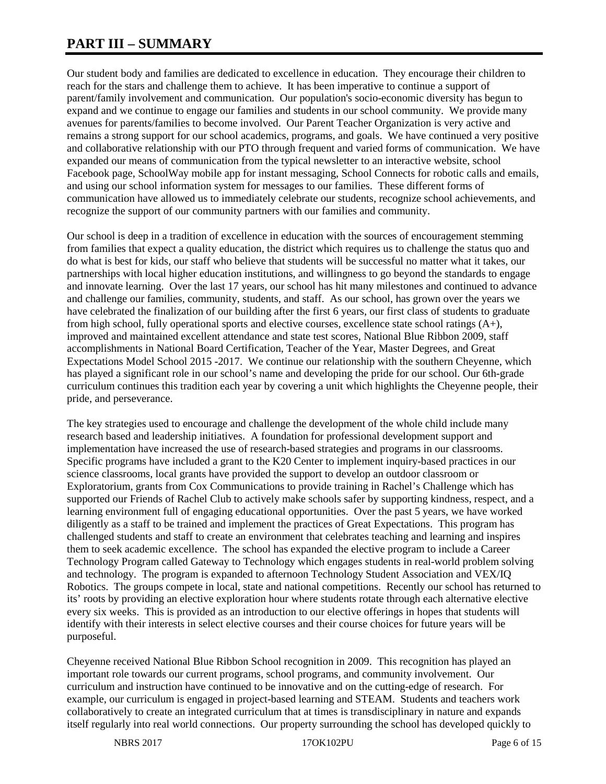# **PART III – SUMMARY**

Our student body and families are dedicated to excellence in education. They encourage their children to reach for the stars and challenge them to achieve. It has been imperative to continue a support of parent/family involvement and communication. Our population's socio-economic diversity has begun to expand and we continue to engage our families and students in our school community. We provide many avenues for parents/families to become involved. Our Parent Teacher Organization is very active and remains a strong support for our school academics, programs, and goals. We have continued a very positive and collaborative relationship with our PTO through frequent and varied forms of communication. We have expanded our means of communication from the typical newsletter to an interactive website, school Facebook page, SchoolWay mobile app for instant messaging, School Connects for robotic calls and emails, and using our school information system for messages to our families. These different forms of communication have allowed us to immediately celebrate our students, recognize school achievements, and recognize the support of our community partners with our families and community.

Our school is deep in a tradition of excellence in education with the sources of encouragement stemming from families that expect a quality education, the district which requires us to challenge the status quo and do what is best for kids, our staff who believe that students will be successful no matter what it takes, our partnerships with local higher education institutions, and willingness to go beyond the standards to engage and innovate learning. Over the last 17 years, our school has hit many milestones and continued to advance and challenge our families, community, students, and staff. As our school, has grown over the years we have celebrated the finalization of our building after the first 6 years, our first class of students to graduate from high school, fully operational sports and elective courses, excellence state school ratings (A+), improved and maintained excellent attendance and state test scores, National Blue Ribbon 2009, staff accomplishments in National Board Certification, Teacher of the Year, Master Degrees, and Great Expectations Model School 2015 -2017. We continue our relationship with the southern Cheyenne, which has played a significant role in our school's name and developing the pride for our school. Our 6th-grade curriculum continues this tradition each year by covering a unit which highlights the Cheyenne people, their pride, and perseverance.

The key strategies used to encourage and challenge the development of the whole child include many research based and leadership initiatives. A foundation for professional development support and implementation have increased the use of research-based strategies and programs in our classrooms. Specific programs have included a grant to the K20 Center to implement inquiry-based practices in our science classrooms, local grants have provided the support to develop an outdoor classroom or Exploratorium, grants from Cox Communications to provide training in Rachel's Challenge which has supported our Friends of Rachel Club to actively make schools safer by supporting kindness, respect, and a learning environment full of engaging educational opportunities. Over the past 5 years, we have worked diligently as a staff to be trained and implement the practices of Great Expectations. This program has challenged students and staff to create an environment that celebrates teaching and learning and inspires them to seek academic excellence. The school has expanded the elective program to include a Career Technology Program called Gateway to Technology which engages students in real-world problem solving and technology. The program is expanded to afternoon Technology Student Association and VEX/IQ Robotics. The groups compete in local, state and national competitions. Recently our school has returned to its' roots by providing an elective exploration hour where students rotate through each alternative elective every six weeks. This is provided as an introduction to our elective offerings in hopes that students will identify with their interests in select elective courses and their course choices for future years will be purposeful.

Cheyenne received National Blue Ribbon School recognition in 2009. This recognition has played an important role towards our current programs, school programs, and community involvement. Our curriculum and instruction have continued to be innovative and on the cutting-edge of research. For example, our curriculum is engaged in project-based learning and STEAM. Students and teachers work collaboratively to create an integrated curriculum that at times is transdisciplinary in nature and expands itself regularly into real world connections. Our property surrounding the school has developed quickly to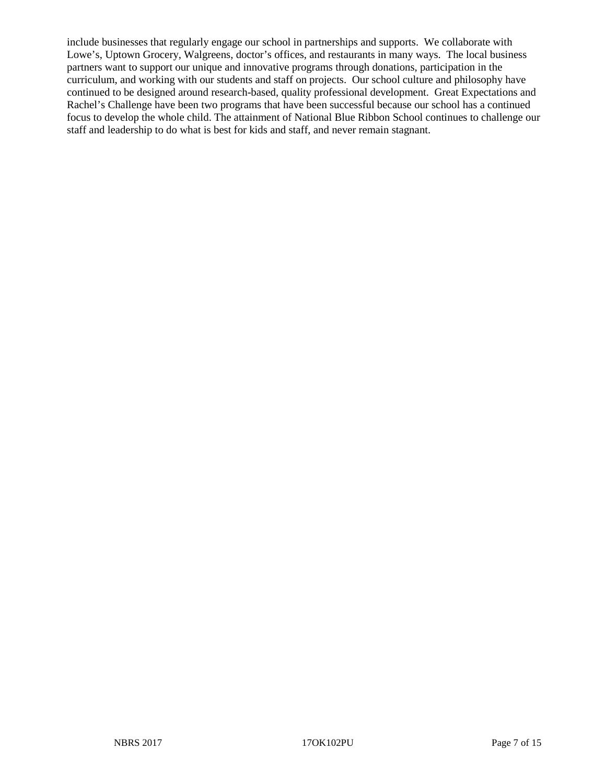include businesses that regularly engage our school in partnerships and supports. We collaborate with Lowe's, Uptown Grocery, Walgreens, doctor's offices, and restaurants in many ways. The local business partners want to support our unique and innovative programs through donations, participation in the curriculum, and working with our students and staff on projects. Our school culture and philosophy have continued to be designed around research-based, quality professional development. Great Expectations and Rachel's Challenge have been two programs that have been successful because our school has a continued focus to develop the whole child. The attainment of National Blue Ribbon School continues to challenge our staff and leadership to do what is best for kids and staff, and never remain stagnant.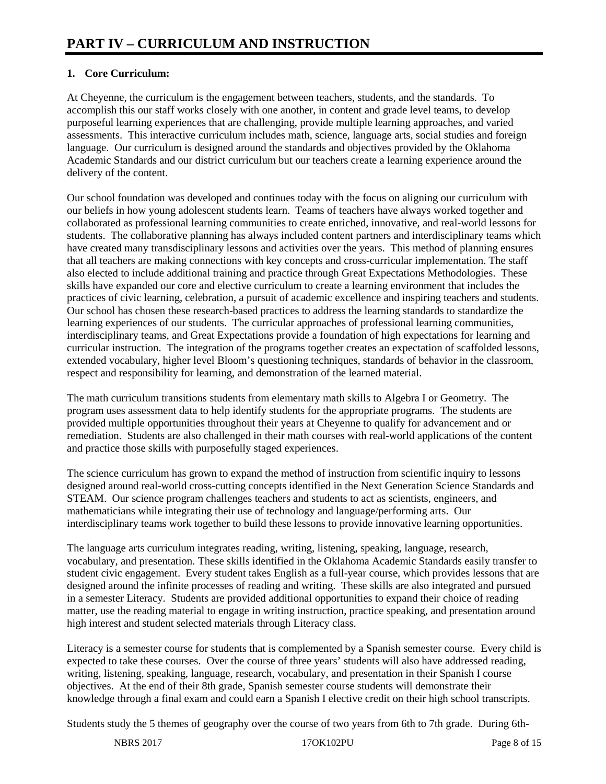# **1. Core Curriculum:**

At Cheyenne, the curriculum is the engagement between teachers, students, and the standards. To accomplish this our staff works closely with one another, in content and grade level teams, to develop purposeful learning experiences that are challenging, provide multiple learning approaches, and varied assessments. This interactive curriculum includes math, science, language arts, social studies and foreign language. Our curriculum is designed around the standards and objectives provided by the Oklahoma Academic Standards and our district curriculum but our teachers create a learning experience around the delivery of the content.

Our school foundation was developed and continues today with the focus on aligning our curriculum with our beliefs in how young adolescent students learn. Teams of teachers have always worked together and collaborated as professional learning communities to create enriched, innovative, and real-world lessons for students. The collaborative planning has always included content partners and interdisciplinary teams which have created many transdisciplinary lessons and activities over the years. This method of planning ensures that all teachers are making connections with key concepts and cross-curricular implementation. The staff also elected to include additional training and practice through Great Expectations Methodologies. These skills have expanded our core and elective curriculum to create a learning environment that includes the practices of civic learning, celebration, a pursuit of academic excellence and inspiring teachers and students. Our school has chosen these research-based practices to address the learning standards to standardize the learning experiences of our students. The curricular approaches of professional learning communities, interdisciplinary teams, and Great Expectations provide a foundation of high expectations for learning and curricular instruction. The integration of the programs together creates an expectation of scaffolded lessons, extended vocabulary, higher level Bloom's questioning techniques, standards of behavior in the classroom, respect and responsibility for learning, and demonstration of the learned material.

The math curriculum transitions students from elementary math skills to Algebra I or Geometry. The program uses assessment data to help identify students for the appropriate programs. The students are provided multiple opportunities throughout their years at Cheyenne to qualify for advancement and or remediation. Students are also challenged in their math courses with real-world applications of the content and practice those skills with purposefully staged experiences.

The science curriculum has grown to expand the method of instruction from scientific inquiry to lessons designed around real-world cross-cutting concepts identified in the Next Generation Science Standards and STEAM. Our science program challenges teachers and students to act as scientists, engineers, and mathematicians while integrating their use of technology and language/performing arts. Our interdisciplinary teams work together to build these lessons to provide innovative learning opportunities.

The language arts curriculum integrates reading, writing, listening, speaking, language, research, vocabulary, and presentation. These skills identified in the Oklahoma Academic Standards easily transfer to student civic engagement. Every student takes English as a full-year course, which provides lessons that are designed around the infinite processes of reading and writing. These skills are also integrated and pursued in a semester Literacy. Students are provided additional opportunities to expand their choice of reading matter, use the reading material to engage in writing instruction, practice speaking, and presentation around high interest and student selected materials through Literacy class.

Literacy is a semester course for students that is complemented by a Spanish semester course. Every child is expected to take these courses. Over the course of three years' students will also have addressed reading, writing, listening, speaking, language, research, vocabulary, and presentation in their Spanish I course objectives. At the end of their 8th grade, Spanish semester course students will demonstrate their knowledge through a final exam and could earn a Spanish I elective credit on their high school transcripts.

Students study the 5 themes of geography over the course of two years from 6th to 7th grade. During 6th-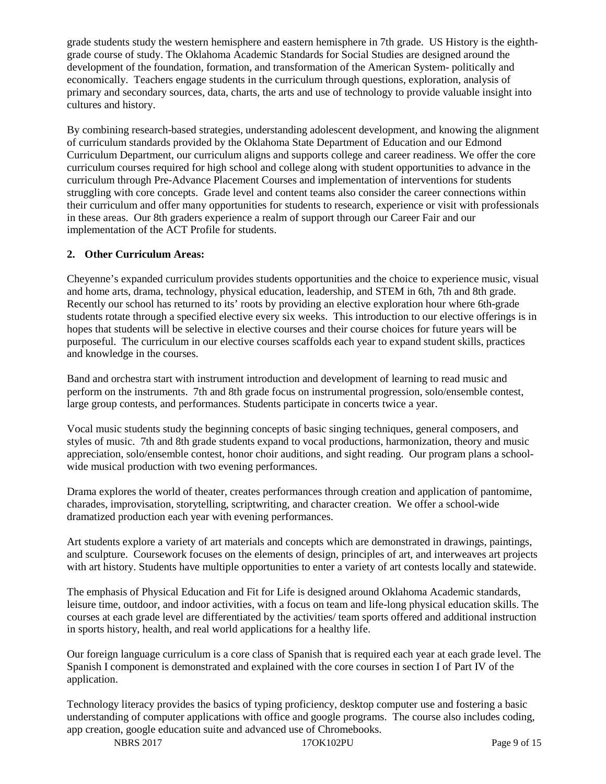grade students study the western hemisphere and eastern hemisphere in 7th grade. US History is the eighthgrade course of study. The Oklahoma Academic Standards for Social Studies are designed around the development of the foundation, formation, and transformation of the American System- politically and economically. Teachers engage students in the curriculum through questions, exploration, analysis of primary and secondary sources, data, charts, the arts and use of technology to provide valuable insight into cultures and history.

By combining research-based strategies, understanding adolescent development, and knowing the alignment of curriculum standards provided by the Oklahoma State Department of Education and our Edmond Curriculum Department, our curriculum aligns and supports college and career readiness. We offer the core curriculum courses required for high school and college along with student opportunities to advance in the curriculum through Pre-Advance Placement Courses and implementation of interventions for students struggling with core concepts. Grade level and content teams also consider the career connections within their curriculum and offer many opportunities for students to research, experience or visit with professionals in these areas. Our 8th graders experience a realm of support through our Career Fair and our implementation of the ACT Profile for students.

## **2. Other Curriculum Areas:**

Cheyenne's expanded curriculum provides students opportunities and the choice to experience music, visual and home arts, drama, technology, physical education, leadership, and STEM in 6th, 7th and 8th grade. Recently our school has returned to its' roots by providing an elective exploration hour where 6th-grade students rotate through a specified elective every six weeks. This introduction to our elective offerings is in hopes that students will be selective in elective courses and their course choices for future years will be purposeful. The curriculum in our elective courses scaffolds each year to expand student skills, practices and knowledge in the courses.

Band and orchestra start with instrument introduction and development of learning to read music and perform on the instruments. 7th and 8th grade focus on instrumental progression, solo/ensemble contest, large group contests, and performances. Students participate in concerts twice a year.

Vocal music students study the beginning concepts of basic singing techniques, general composers, and styles of music. 7th and 8th grade students expand to vocal productions, harmonization, theory and music appreciation, solo/ensemble contest, honor choir auditions, and sight reading. Our program plans a schoolwide musical production with two evening performances.

Drama explores the world of theater, creates performances through creation and application of pantomime, charades, improvisation, storytelling, scriptwriting, and character creation. We offer a school-wide dramatized production each year with evening performances.

Art students explore a variety of art materials and concepts which are demonstrated in drawings, paintings, and sculpture. Coursework focuses on the elements of design, principles of art, and interweaves art projects with art history. Students have multiple opportunities to enter a variety of art contests locally and statewide.

The emphasis of Physical Education and Fit for Life is designed around Oklahoma Academic standards, leisure time, outdoor, and indoor activities, with a focus on team and life-long physical education skills. The courses at each grade level are differentiated by the activities/ team sports offered and additional instruction in sports history, health, and real world applications for a healthy life.

Our foreign language curriculum is a core class of Spanish that is required each year at each grade level. The Spanish I component is demonstrated and explained with the core courses in section I of Part IV of the application.

Technology literacy provides the basics of typing proficiency, desktop computer use and fostering a basic understanding of computer applications with office and google programs. The course also includes coding, app creation, google education suite and advanced use of Chromebooks.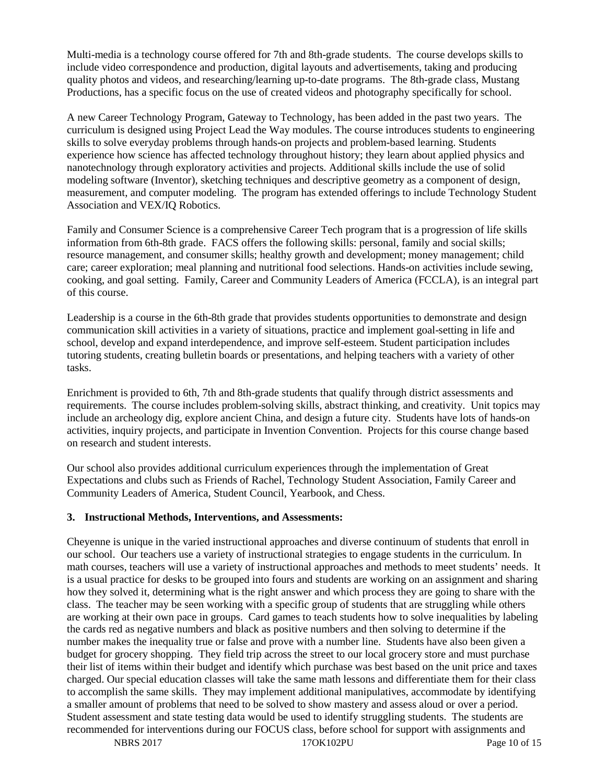Multi-media is a technology course offered for 7th and 8th-grade students. The course develops skills to include video correspondence and production, digital layouts and advertisements, taking and producing quality photos and videos, and researching/learning up-to-date programs. The 8th-grade class, Mustang Productions, has a specific focus on the use of created videos and photography specifically for school.

A new Career Technology Program, Gateway to Technology, has been added in the past two years. The curriculum is designed using Project Lead the Way modules. The course introduces students to engineering skills to solve everyday problems through hands-on projects and problem-based learning. Students experience how science has affected technology throughout history; they learn about applied physics and nanotechnology through exploratory activities and projects. Additional skills include the use of solid modeling software (Inventor), sketching techniques and descriptive geometry as a component of design, measurement, and computer modeling. The program has extended offerings to include Technology Student Association and VEX/IQ Robotics.

Family and Consumer Science is a comprehensive Career Tech program that is a progression of life skills information from 6th-8th grade. FACS offers the following skills: personal, family and social skills; resource management, and consumer skills; healthy growth and development; money management; child care; career exploration; meal planning and nutritional food selections. Hands-on activities include sewing, cooking, and goal setting. Family, Career and Community Leaders of America (FCCLA), is an integral part of this course.

Leadership is a course in the 6th-8th grade that provides students opportunities to demonstrate and design communication skill activities in a variety of situations, practice and implement goal-setting in life and school, develop and expand interdependence, and improve self-esteem. Student participation includes tutoring students, creating bulletin boards or presentations, and helping teachers with a variety of other tasks.

Enrichment is provided to 6th, 7th and 8th-grade students that qualify through district assessments and requirements. The course includes problem-solving skills, abstract thinking, and creativity. Unit topics may include an archeology dig, explore ancient China, and design a future city. Students have lots of hands-on activities, inquiry projects, and participate in Invention Convention. Projects for this course change based on research and student interests.

Our school also provides additional curriculum experiences through the implementation of Great Expectations and clubs such as Friends of Rachel, Technology Student Association, Family Career and Community Leaders of America, Student Council, Yearbook, and Chess.

#### **3. Instructional Methods, Interventions, and Assessments:**

Cheyenne is unique in the varied instructional approaches and diverse continuum of students that enroll in our school. Our teachers use a variety of instructional strategies to engage students in the curriculum. In math courses, teachers will use a variety of instructional approaches and methods to meet students' needs. It is a usual practice for desks to be grouped into fours and students are working on an assignment and sharing how they solved it, determining what is the right answer and which process they are going to share with the class. The teacher may be seen working with a specific group of students that are struggling while others are working at their own pace in groups. Card games to teach students how to solve inequalities by labeling the cards red as negative numbers and black as positive numbers and then solving to determine if the number makes the inequality true or false and prove with a number line. Students have also been given a budget for grocery shopping. They field trip across the street to our local grocery store and must purchase their list of items within their budget and identify which purchase was best based on the unit price and taxes charged. Our special education classes will take the same math lessons and differentiate them for their class to accomplish the same skills. They may implement additional manipulatives, accommodate by identifying a smaller amount of problems that need to be solved to show mastery and assess aloud or over a period. Student assessment and state testing data would be used to identify struggling students. The students are recommended for interventions during our FOCUS class, before school for support with assignments and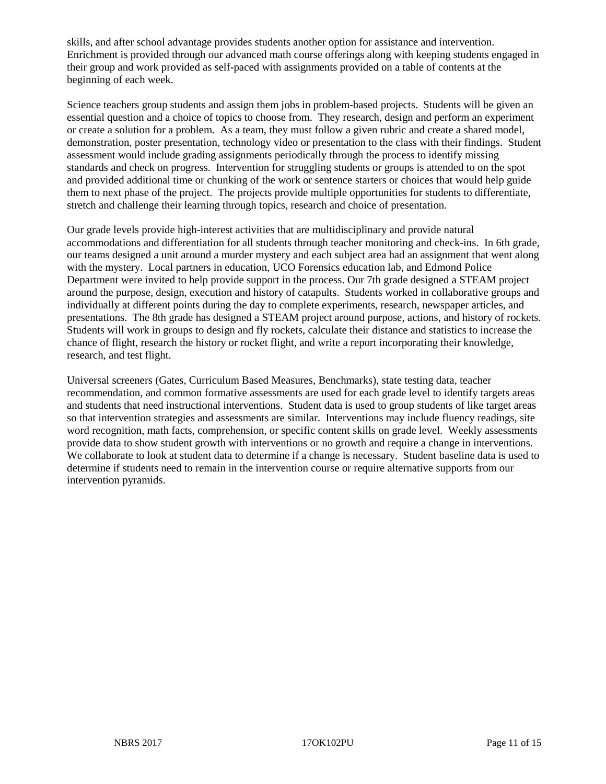skills, and after school advantage provides students another option for assistance and intervention. Enrichment is provided through our advanced math course offerings along with keeping students engaged in their group and work provided as self-paced with assignments provided on a table of contents at the beginning of each week.

Science teachers group students and assign them jobs in problem-based projects. Students will be given an essential question and a choice of topics to choose from. They research, design and perform an experiment or create a solution for a problem. As a team, they must follow a given rubric and create a shared model, demonstration, poster presentation, technology video or presentation to the class with their findings. Student assessment would include grading assignments periodically through the process to identify missing standards and check on progress. Intervention for struggling students or groups is attended to on the spot and provided additional time or chunking of the work or sentence starters or choices that would help guide them to next phase of the project. The projects provide multiple opportunities for students to differentiate, stretch and challenge their learning through topics, research and choice of presentation.

Our grade levels provide high-interest activities that are multidisciplinary and provide natural accommodations and differentiation for all students through teacher monitoring and check-ins. In 6th grade, our teams designed a unit around a murder mystery and each subject area had an assignment that went along with the mystery. Local partners in education, UCO Forensics education lab, and Edmond Police Department were invited to help provide support in the process. Our 7th grade designed a STEAM project around the purpose, design, execution and history of catapults. Students worked in collaborative groups and individually at different points during the day to complete experiments, research, newspaper articles, and presentations. The 8th grade has designed a STEAM project around purpose, actions, and history of rockets. Students will work in groups to design and fly rockets, calculate their distance and statistics to increase the chance of flight, research the history or rocket flight, and write a report incorporating their knowledge, research, and test flight.

Universal screeners (Gates, Curriculum Based Measures, Benchmarks), state testing data, teacher recommendation, and common formative assessments are used for each grade level to identify targets areas and students that need instructional interventions. Student data is used to group students of like target areas so that intervention strategies and assessments are similar. Interventions may include fluency readings, site word recognition, math facts, comprehension, or specific content skills on grade level. Weekly assessments provide data to show student growth with interventions or no growth and require a change in interventions. We collaborate to look at student data to determine if a change is necessary. Student baseline data is used to determine if students need to remain in the intervention course or require alternative supports from our intervention pyramids.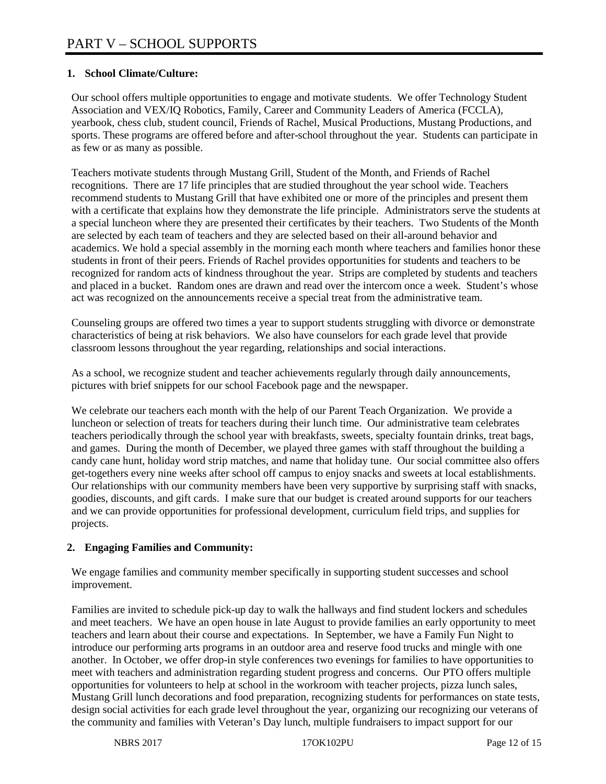## **1. School Climate/Culture:**

Our school offers multiple opportunities to engage and motivate students. We offer Technology Student Association and VEX/IQ Robotics, Family, Career and Community Leaders of America (FCCLA), yearbook, chess club, student council, Friends of Rachel, Musical Productions, Mustang Productions, and sports. These programs are offered before and after-school throughout the year. Students can participate in as few or as many as possible.

Teachers motivate students through Mustang Grill, Student of the Month, and Friends of Rachel recognitions. There are 17 life principles that are studied throughout the year school wide. Teachers recommend students to Mustang Grill that have exhibited one or more of the principles and present them with a certificate that explains how they demonstrate the life principle. Administrators serve the students at a special luncheon where they are presented their certificates by their teachers. Two Students of the Month are selected by each team of teachers and they are selected based on their all-around behavior and academics. We hold a special assembly in the morning each month where teachers and families honor these students in front of their peers. Friends of Rachel provides opportunities for students and teachers to be recognized for random acts of kindness throughout the year. Strips are completed by students and teachers and placed in a bucket. Random ones are drawn and read over the intercom once a week. Student's whose act was recognized on the announcements receive a special treat from the administrative team.

Counseling groups are offered two times a year to support students struggling with divorce or demonstrate characteristics of being at risk behaviors. We also have counselors for each grade level that provide classroom lessons throughout the year regarding, relationships and social interactions.

As a school, we recognize student and teacher achievements regularly through daily announcements, pictures with brief snippets for our school Facebook page and the newspaper.

We celebrate our teachers each month with the help of our Parent Teach Organization. We provide a luncheon or selection of treats for teachers during their lunch time. Our administrative team celebrates teachers periodically through the school year with breakfasts, sweets, specialty fountain drinks, treat bags, and games. During the month of December, we played three games with staff throughout the building a candy cane hunt, holiday word strip matches, and name that holiday tune. Our social committee also offers get-togethers every nine weeks after school off campus to enjoy snacks and sweets at local establishments. Our relationships with our community members have been very supportive by surprising staff with snacks, goodies, discounts, and gift cards. I make sure that our budget is created around supports for our teachers and we can provide opportunities for professional development, curriculum field trips, and supplies for projects.

#### **2. Engaging Families and Community:**

We engage families and community member specifically in supporting student successes and school improvement.

Families are invited to schedule pick-up day to walk the hallways and find student lockers and schedules and meet teachers. We have an open house in late August to provide families an early opportunity to meet teachers and learn about their course and expectations. In September, we have a Family Fun Night to introduce our performing arts programs in an outdoor area and reserve food trucks and mingle with one another. In October, we offer drop-in style conferences two evenings for families to have opportunities to meet with teachers and administration regarding student progress and concerns. Our PTO offers multiple opportunities for volunteers to help at school in the workroom with teacher projects, pizza lunch sales, Mustang Grill lunch decorations and food preparation, recognizing students for performances on state tests, design social activities for each grade level throughout the year, organizing our recognizing our veterans of the community and families with Veteran's Day lunch, multiple fundraisers to impact support for our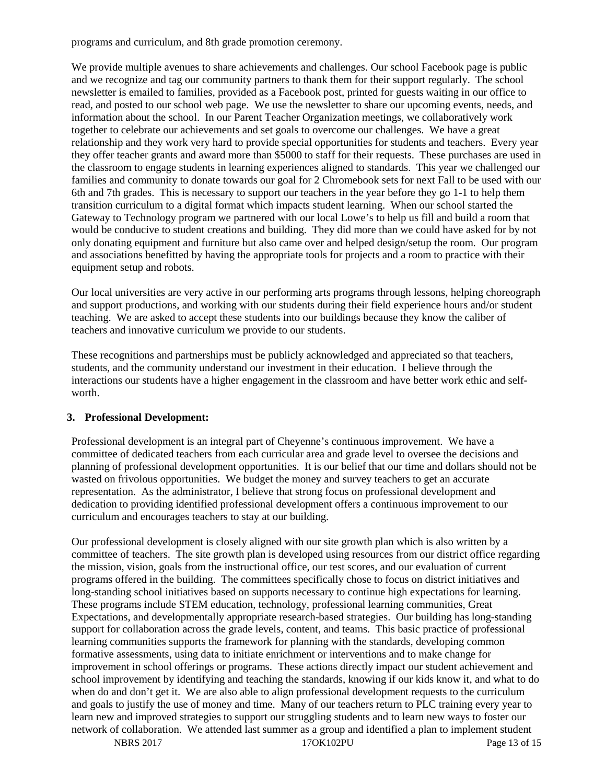programs and curriculum, and 8th grade promotion ceremony.

We provide multiple avenues to share achievements and challenges. Our school Facebook page is public and we recognize and tag our community partners to thank them for their support regularly. The school newsletter is emailed to families, provided as a Facebook post, printed for guests waiting in our office to read, and posted to our school web page. We use the newsletter to share our upcoming events, needs, and information about the school. In our Parent Teacher Organization meetings, we collaboratively work together to celebrate our achievements and set goals to overcome our challenges. We have a great relationship and they work very hard to provide special opportunities for students and teachers. Every year they offer teacher grants and award more than \$5000 to staff for their requests. These purchases are used in the classroom to engage students in learning experiences aligned to standards. This year we challenged our families and community to donate towards our goal for 2 Chromebook sets for next Fall to be used with our 6th and 7th grades. This is necessary to support our teachers in the year before they go 1-1 to help them transition curriculum to a digital format which impacts student learning. When our school started the Gateway to Technology program we partnered with our local Lowe's to help us fill and build a room that would be conducive to student creations and building. They did more than we could have asked for by not only donating equipment and furniture but also came over and helped design/setup the room. Our program and associations benefitted by having the appropriate tools for projects and a room to practice with their equipment setup and robots.

Our local universities are very active in our performing arts programs through lessons, helping choreograph and support productions, and working with our students during their field experience hours and/or student teaching. We are asked to accept these students into our buildings because they know the caliber of teachers and innovative curriculum we provide to our students.

These recognitions and partnerships must be publicly acknowledged and appreciated so that teachers, students, and the community understand our investment in their education. I believe through the interactions our students have a higher engagement in the classroom and have better work ethic and selfworth.

#### **3. Professional Development:**

Professional development is an integral part of Cheyenne's continuous improvement. We have a committee of dedicated teachers from each curricular area and grade level to oversee the decisions and planning of professional development opportunities. It is our belief that our time and dollars should not be wasted on frivolous opportunities. We budget the money and survey teachers to get an accurate representation. As the administrator, I believe that strong focus on professional development and dedication to providing identified professional development offers a continuous improvement to our curriculum and encourages teachers to stay at our building.

Our professional development is closely aligned with our site growth plan which is also written by a committee of teachers. The site growth plan is developed using resources from our district office regarding the mission, vision, goals from the instructional office, our test scores, and our evaluation of current programs offered in the building. The committees specifically chose to focus on district initiatives and long-standing school initiatives based on supports necessary to continue high expectations for learning. These programs include STEM education, technology, professional learning communities, Great Expectations, and developmentally appropriate research-based strategies. Our building has long-standing support for collaboration across the grade levels, content, and teams. This basic practice of professional learning communities supports the framework for planning with the standards, developing common formative assessments, using data to initiate enrichment or interventions and to make change for improvement in school offerings or programs. These actions directly impact our student achievement and school improvement by identifying and teaching the standards, knowing if our kids know it, and what to do when do and don't get it. We are also able to align professional development requests to the curriculum and goals to justify the use of money and time. Many of our teachers return to PLC training every year to learn new and improved strategies to support our struggling students and to learn new ways to foster our network of collaboration. We attended last summer as a group and identified a plan to implement student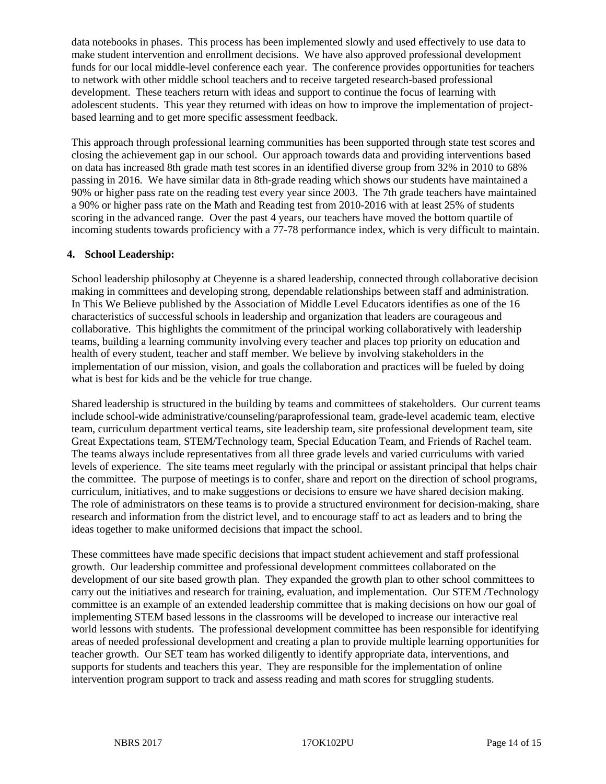data notebooks in phases. This process has been implemented slowly and used effectively to use data to make student intervention and enrollment decisions. We have also approved professional development funds for our local middle-level conference each year. The conference provides opportunities for teachers to network with other middle school teachers and to receive targeted research-based professional development. These teachers return with ideas and support to continue the focus of learning with adolescent students. This year they returned with ideas on how to improve the implementation of projectbased learning and to get more specific assessment feedback.

This approach through professional learning communities has been supported through state test scores and closing the achievement gap in our school. Our approach towards data and providing interventions based on data has increased 8th grade math test scores in an identified diverse group from 32% in 2010 to 68% passing in 2016. We have similar data in 8th-grade reading which shows our students have maintained a 90% or higher pass rate on the reading test every year since 2003. The 7th grade teachers have maintained a 90% or higher pass rate on the Math and Reading test from 2010-2016 with at least 25% of students scoring in the advanced range. Over the past 4 years, our teachers have moved the bottom quartile of incoming students towards proficiency with a 77-78 performance index, which is very difficult to maintain.

#### **4. School Leadership:**

School leadership philosophy at Cheyenne is a shared leadership, connected through collaborative decision making in committees and developing strong, dependable relationships between staff and administration. In This We Believe published by the Association of Middle Level Educators identifies as one of the 16 characteristics of successful schools in leadership and organization that leaders are courageous and collaborative. This highlights the commitment of the principal working collaboratively with leadership teams, building a learning community involving every teacher and places top priority on education and health of every student, teacher and staff member. We believe by involving stakeholders in the implementation of our mission, vision, and goals the collaboration and practices will be fueled by doing what is best for kids and be the vehicle for true change.

Shared leadership is structured in the building by teams and committees of stakeholders. Our current teams include school-wide administrative/counseling/paraprofessional team, grade-level academic team, elective team, curriculum department vertical teams, site leadership team, site professional development team, site Great Expectations team, STEM/Technology team, Special Education Team, and Friends of Rachel team. The teams always include representatives from all three grade levels and varied curriculums with varied levels of experience. The site teams meet regularly with the principal or assistant principal that helps chair the committee. The purpose of meetings is to confer, share and report on the direction of school programs, curriculum, initiatives, and to make suggestions or decisions to ensure we have shared decision making. The role of administrators on these teams is to provide a structured environment for decision-making, share research and information from the district level, and to encourage staff to act as leaders and to bring the ideas together to make uniformed decisions that impact the school.

These committees have made specific decisions that impact student achievement and staff professional growth. Our leadership committee and professional development committees collaborated on the development of our site based growth plan. They expanded the growth plan to other school committees to carry out the initiatives and research for training, evaluation, and implementation. Our STEM /Technology committee is an example of an extended leadership committee that is making decisions on how our goal of implementing STEM based lessons in the classrooms will be developed to increase our interactive real world lessons with students. The professional development committee has been responsible for identifying areas of needed professional development and creating a plan to provide multiple learning opportunities for teacher growth. Our SET team has worked diligently to identify appropriate data, interventions, and supports for students and teachers this year. They are responsible for the implementation of online intervention program support to track and assess reading and math scores for struggling students.